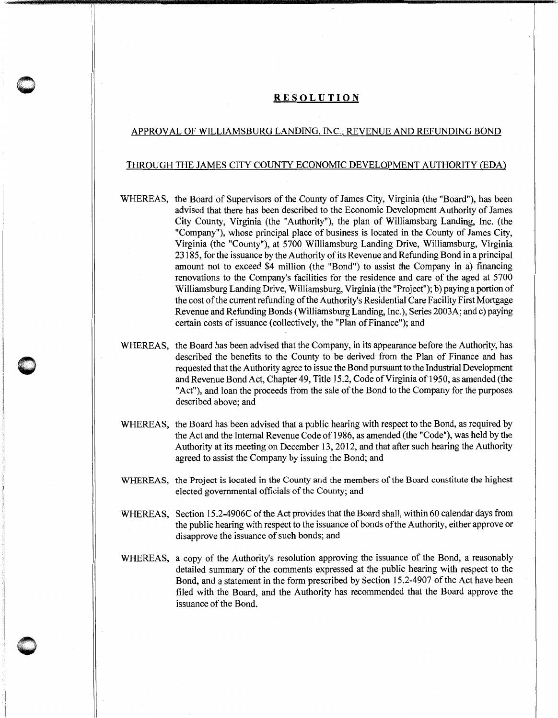## **RESOLUTION**

## APPROVAL OF WILLIAMSBURG LANDING, INC., REVENUE AND REFUNDING BOND

## THROUGH THE JAMES CITY COUNTY ECONOMIC DEVELOPMENT AUTHORITY (EDA)

- WHEREAS, the Board of Supervisors of the County of James City, Virginia (the "Board"), has been advised that there has been described to the Economic Development Authority of James City County, Virginia (the "Authority"), the plan of Williamsburg Landing, Inc. (the "Company"), whose principal place of business is located in the County of James City, Virginia (the "County"), at 5700 Williamsburg Landing Drive, Williamsburg, Virginia 23185, for the issuance by the Authority of its Revenue and Refunding Bond in a principal amount not to exceed \$4 million (the "Bond") to assist the Company in a) financing renovations to the Company's facilities for the residence and care of the aged at 5700 Williamsburg Landing Drive, Williamsburg, Virginia (the "Project"); b) paying a portion of the cost of the current refunding of the Authority's Residential Care Facility First Mortgage Revenue and Refunding Bonds (Williamsburg Landing, Inc.), Series 2003A; and c) paying certain costs of issuance (collectively, the "Plan of Finance"); and
- WHEREAS, the Board has been advised that the Company, in its appearance before the Authority, has described the benefits to the County to be derived from the Plan of Finance and has requested that the Authority agree to issue the Bond pursuant to the Industrial Development and Revenue Bond Act, Chapter 49, Title 15.2, Code of Virginia of 1950, as amended (the "Act"), and loan the proceeds from the sale of the Bond to the Company for the purposes described above; and
- WHEREAS, the Board has been advised that a public hearing with respect to the Bond, as required by the Act and the Internal Revenue Code of 1986, as amended (the "Code"), was held by the Authority at its meeting on December 13,2012, and that after such hearing the Authority agreed to assist the Company by issuing the Bond; and
- WHEREAS, the Project is located in the County and the members of the Board constitute the highest elected governmental officials of the County; and
- WHEREAS, Section 15.2-4906C of the Act provides that the Board shall, within 60 calendar days from the public hearing with respect to the issuance of bonds of the Authority, either approve or disapprove the issuance of such bonds; and
- WHEREAS, a copy of the Authority's resolution approving the issuance of the Bond, a reasonably detailed summary of the comments expressed at the public hearing with respect to the Bond, and a statement in the form prescribed by Section 15.2-4907 of the Act have been filed with the Board, and the Authority has recommended that the Board approve the issuance of the Bond.

 $\bigcirc$